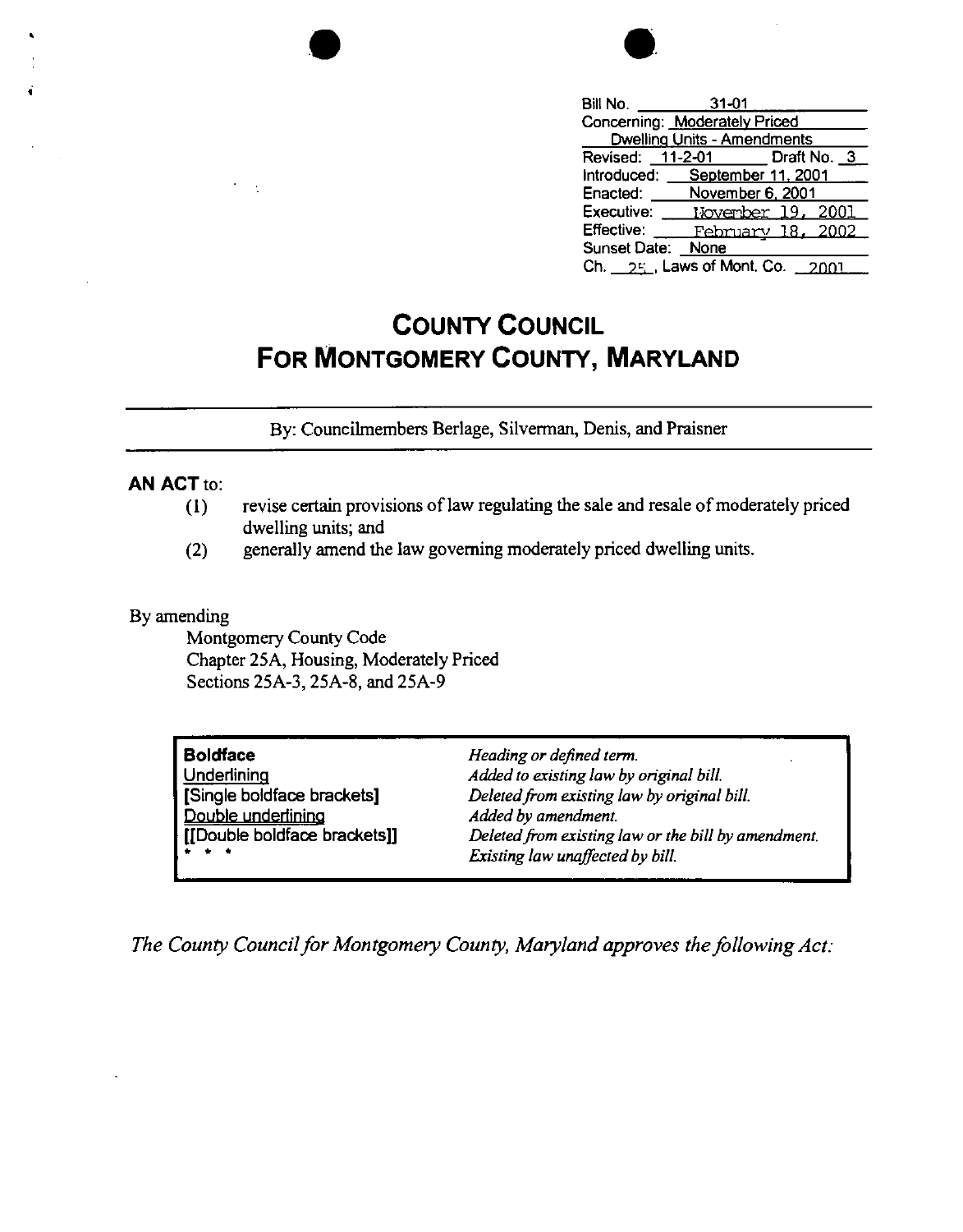| Bill No.                       | $31 - 01$                   |                              |
|--------------------------------|-----------------------------|------------------------------|
| Concerning: Moderately Priced  |                             |                              |
|                                | Dwelling Units - Amendments |                              |
|                                |                             | Revised: 11-2-01 Draft No. 3 |
| Introduced: September 11, 2001 |                             |                              |
| Enacted:                       | November 6, 2001            |                              |
| Executive:                     |                             | November 19, 2001            |
| Effective:                     |                             | <u>February 18, 2002 -</u>   |
| Sunset Date: None              |                             |                              |
| Ch. 25, Laws of Mont. Co.      |                             |                              |

## **COUNTY COUNCIL FOR MONTGOMERY COUNTY, MARYLAND**

By: Councilrnembers Berlage, Silverman, Denis, and Praisner

## **AN ACT** to:

•

•

- (I) revise certain provisions of law regulating the sale and resale of moderately priced dwelling units; and
- (2) generally amend the law governing moderately priced dwelling units.

## By amending

Montgomery County Code Chapter 25A, Housing, Moderately Priced Sections 25A-3, 25A-8, and 25A-9

| <b>Boldface</b>              | Heading or defined term.                            |
|------------------------------|-----------------------------------------------------|
| Underlining                  | Added to existing law by original bill.             |
| [Single boldface brackets]   | Deleted from existing law by original bill.         |
| Double underlining           | Added by amendment.                                 |
| [[Double boldface brackets]] | Deleted from existing law or the bill by amendment. |
| lè e e                       | Existing law unaffected by bill.                    |

*The County Council for Montgomery County, Maryland approves the following Act:*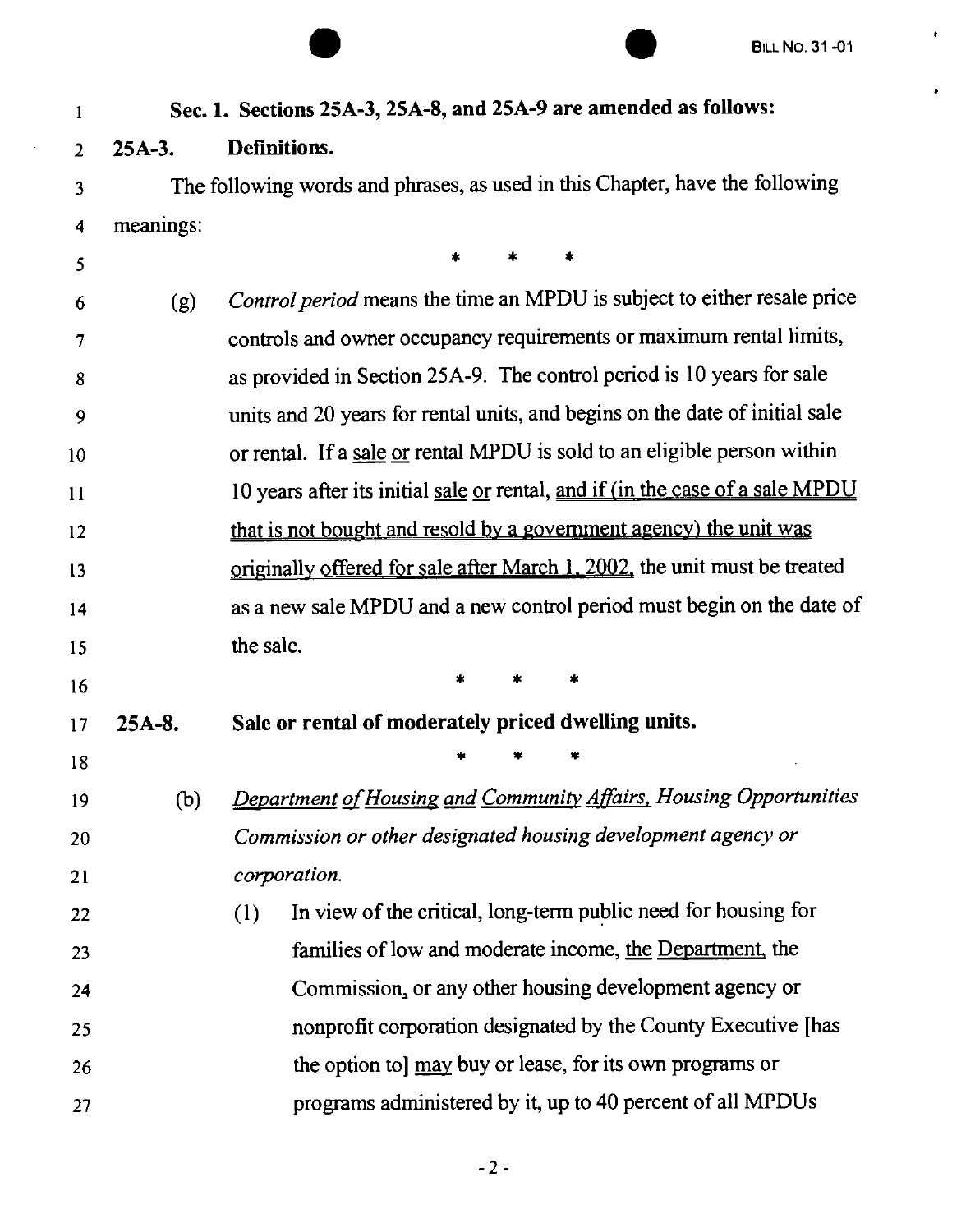$\bullet$ 

 $\pmb{\ast}$ 

|    |           | <b>BILL NO. 31-01</b>                                                         |
|----|-----------|-------------------------------------------------------------------------------|
| 1  |           | Sec. 1. Sections 25A-3, 25A-8, and 25A-9 are amended as follows:              |
| 2  | $25A-3.$  | Definitions.                                                                  |
| 3  |           | The following words and phrases, as used in this Chapter, have the following  |
| 4  | meanings: |                                                                               |
| 5  |           |                                                                               |
| 6  | (g)       | Control period means the time an MPDU is subject to either resale price       |
| 7  |           | controls and owner occupancy requirements or maximum rental limits,           |
| 8  |           | as provided in Section 25A-9. The control period is 10 years for sale         |
| 9  |           | units and 20 years for rental units, and begins on the date of initial sale   |
| 10 |           | or rental. If a sale or rental MPDU is sold to an eligible person within      |
| 11 |           | 10 years after its initial sale or rental, and if (in the case of a sale MPDU |
| 12 |           | that is not bought and resold by a government agency) the unit was            |
| 13 |           | originally offered for sale after March 1, 2002, the unit must be treated     |
| 14 |           | as a new sale MPDU and a new control period must begin on the date of         |
| 15 |           | the sale.                                                                     |
| 16 |           |                                                                               |
| 17 | $25A-8.$  | Sale or rental of moderately priced dwelling units.                           |
| 18 |           |                                                                               |
| 19 | (b)       | Department of Housing and Community Affairs, Housing Opportunities            |
| 20 |           | Commission or other designated housing development agency or                  |
| 21 |           | corporation.                                                                  |
| 22 |           | In view of the critical, long-term public need for housing for<br>(1)         |
| 23 |           | families of low and moderate income, the Department, the                      |
| 24 |           | Commission, or any other housing development agency or                        |
| 25 |           | nonprofit corporation designated by the County Executive [has                 |
| 26 |           | the option to] may buy or lease, for its own programs or                      |
| 27 |           | programs administered by it, up to 40 percent of all MPDUs                    |

 $\sim$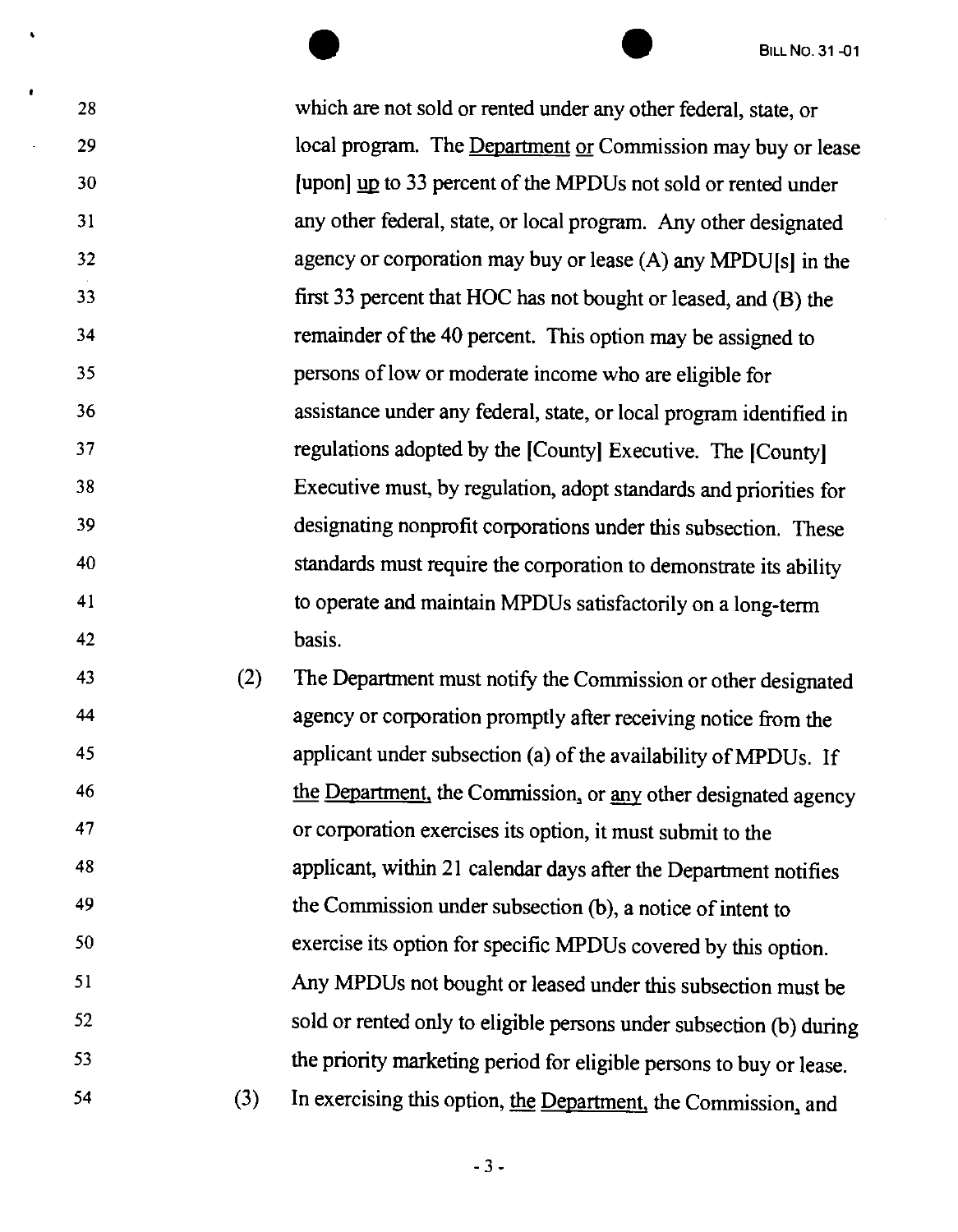28 29 30 31 32 33 34 35 36 37 38 39 40 41 42 BILL NO. 31-01 which are not sold or rented under any other federal, state, or local program. The Department or Commission may buy or lease [upon] up to 33 percent of the MPDUs not sold or rented under any other federal, state, or local program. Any other designated agency or corporation may buy or lease (A) any MPDU(s) in the first 33 percent that HOC has not bought or leased, and (B) the remainder of the 40 percent. This option may be assigned to persons of low or moderate income who are eligible for assistance under any federal, state, or local program identified in regulations adopted by the (County] Executive. The (County] Executive must, by regulation, adopt standards and priorities for designating nonprofit corporations under this subsection. These standards must require the corporation to demonstrate its ability to operate and maintain MPDUs satisfactorily on a long-term basis.

43 44 45 46 47 48 49 50 51 52 53 54 (2) The Department must notify the Commission or other designated agency or corporation promptly after receiving notice from the applicant under subsection (a) of the availability of MPDUs. If the Department, the Commission, or any other designated agency or corporation exercises its option, it must submit to the applicant, within 21 calendar days after the Department notifies the Commission under subsection (b), a notice of intent to exercise its option for specific MPDUs covered by this option. Any MPDUs not bought or leased under this subsection must be sold or rented only to eligible persons under subsection (b) during the priority marketing period for eligible persons to buy or lease. (3) In exercising this option, the Department, the Commission, and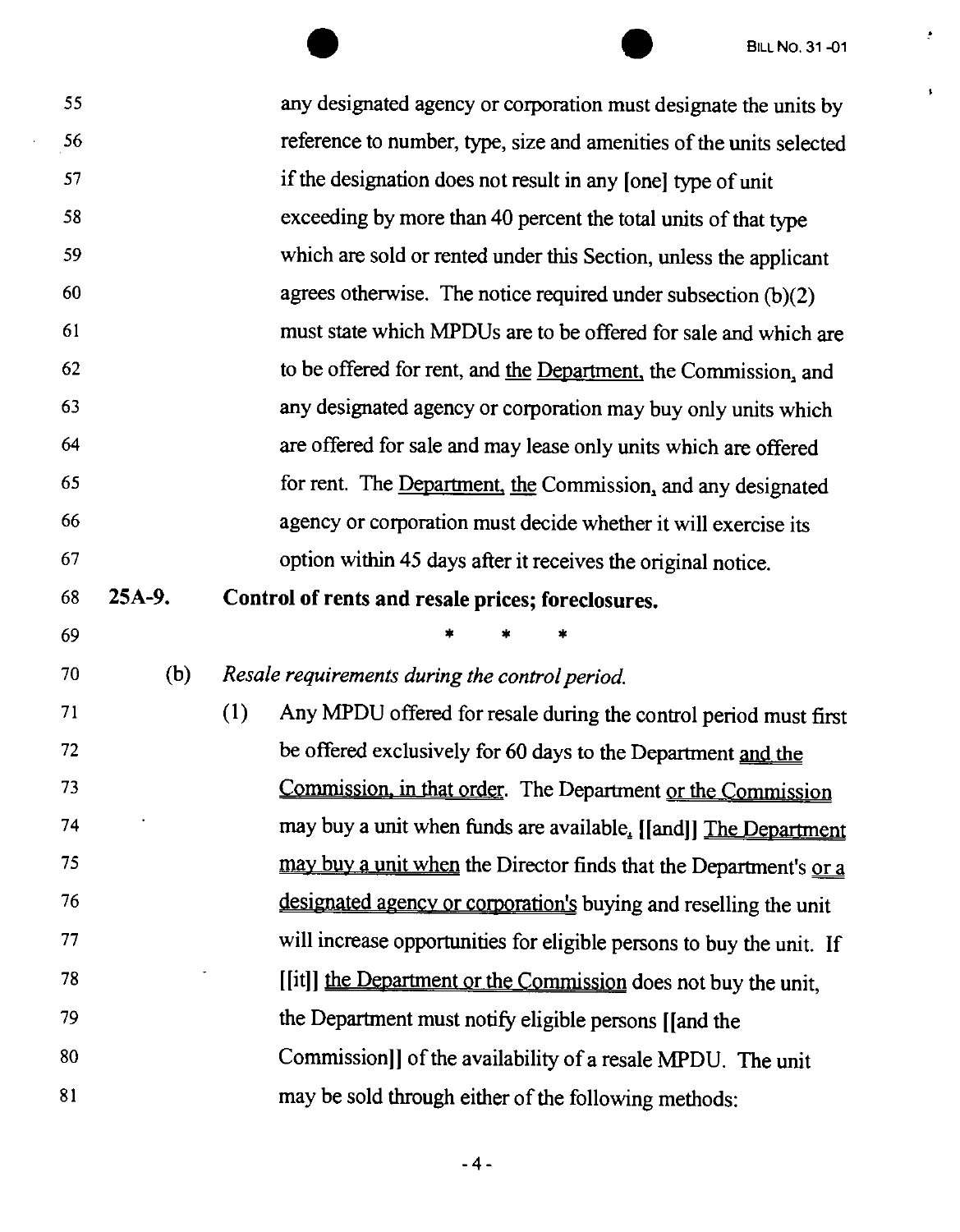$\frac{1}{\sqrt{2}}$ 

 $\bar{\mathbf{v}}$ 

|    |          | <b>BILL NO. 31-01</b>                                                   |
|----|----------|-------------------------------------------------------------------------|
| 55 |          | any designated agency or corporation must designate the units by        |
| 56 |          | reference to number, type, size and amenities of the units selected     |
| 57 |          | if the designation does not result in any [one] type of unit            |
| 58 |          | exceeding by more than 40 percent the total units of that type          |
| 59 |          | which are sold or rented under this Section, unless the applicant       |
| 60 |          | agrees otherwise. The notice required under subsection $(b)(2)$         |
| 61 |          | must state which MPDUs are to be offered for sale and which are         |
| 62 |          | to be offered for rent, and the Department, the Commission, and         |
| 63 |          | any designated agency or corporation may buy only units which           |
| 64 |          | are offered for sale and may lease only units which are offered         |
| 65 |          | for rent. The Department, the Commission, and any designated            |
| 66 |          | agency or corporation must decide whether it will exercise its          |
| 67 |          | option within 45 days after it receives the original notice.            |
| 68 | $25A-9.$ | Control of rents and resale prices; foreclosures.                       |
| 69 |          | *                                                                       |
| 70 | (b)      | Resale requirements during the control period.                          |
| 71 |          | (1)<br>Any MPDU offered for resale during the control period must first |
| 72 |          | be offered exclusively for 60 days to the Department and the            |
| 73 |          | Commission, in that order. The Department or the Commission             |
| 74 |          | may buy a unit when funds are available. [[and]] The Department         |
| 75 |          | may buy a unit when the Director finds that the Department's or a       |
| 76 |          | designated agency or corporation's buying and reselling the unit        |
| 77 |          | will increase opportunities for eligible persons to buy the unit. If    |
| 78 |          | [[it]] the Department or the Commission does not buy the unit,          |
| 79 |          | the Department must notify eligible persons [[and the                   |
| 80 |          | Commission]] of the availability of a resale MPDU. The unit             |
| 81 |          | may be sold through either of the following methods:                    |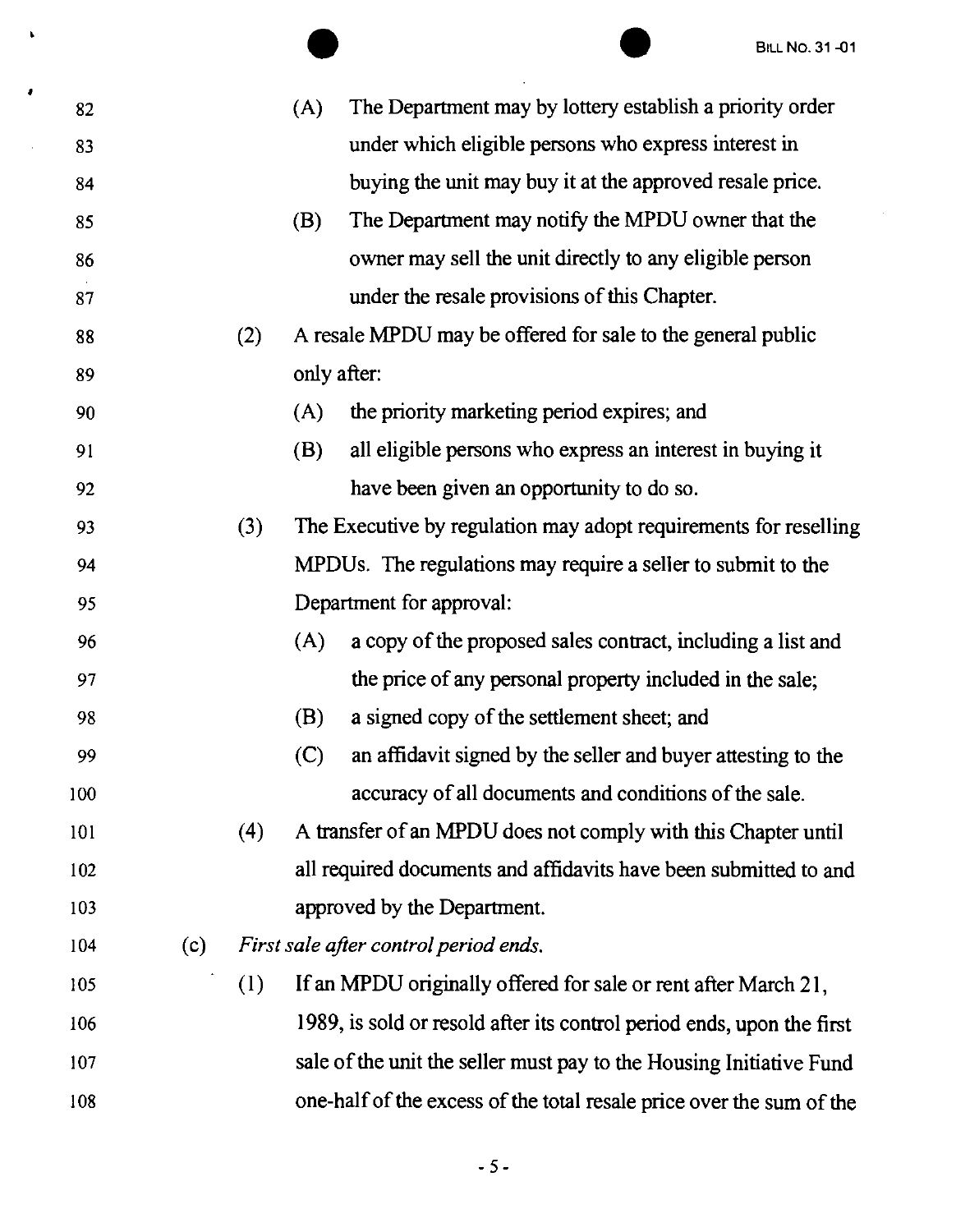|     |     |     |             | <b>BILL NO. 31-01</b>                                                 |
|-----|-----|-----|-------------|-----------------------------------------------------------------------|
| 82  |     |     | (A)         | The Department may by lottery establish a priority order              |
| 83  |     |     |             | under which eligible persons who express interest in                  |
| 84  |     |     |             | buying the unit may buy it at the approved resale price.              |
| 85  |     |     | (B)         | The Department may notify the MPDU owner that the                     |
| 86  |     |     |             | owner may sell the unit directly to any eligible person               |
| 87  |     |     |             | under the resale provisions of this Chapter.                          |
| 88  |     | (2) |             | A resale MPDU may be offered for sale to the general public           |
| 89  |     |     | only after: |                                                                       |
| 90  |     |     | (A)         | the priority marketing period expires; and                            |
| 91  |     |     | (B)         | all eligible persons who express an interest in buying it             |
| 92  |     |     |             | have been given an opportunity to do so.                              |
| 93  |     | (3) |             | The Executive by regulation may adopt requirements for reselling      |
| 94  |     |     |             | MPDUs. The regulations may require a seller to submit to the          |
| 95  |     |     |             | Department for approval:                                              |
| 96  |     |     | (A)         | a copy of the proposed sales contract, including a list and           |
| 97  |     |     |             | the price of any personal property included in the sale;              |
| 98  |     |     | (B)         | a signed copy of the settlement sheet; and                            |
| 99  |     |     | (C)         | an affidavit signed by the seller and buyer attesting to the          |
| 100 |     |     |             | accuracy of all documents and conditions of the sale.                 |
| 101 |     | (4) |             | A transfer of an MPDU does not comply with this Chapter until         |
| 102 |     |     |             | all required documents and affidavits have been submitted to and      |
| 103 |     |     |             | approved by the Department.                                           |
| 104 | (c) |     |             | First sale after control period ends.                                 |
| 105 |     | (1) |             | If an MPDU originally offered for sale or rent after March 21,        |
| 106 |     |     |             | 1989, is sold or resold after its control period ends, upon the first |
| 107 |     |     |             | sale of the unit the seller must pay to the Housing Initiative Fund   |
| 108 |     |     |             | one-half of the excess of the total resale price over the sum of the  |
|     |     |     |             |                                                                       |

 $\ddot{\phantom{0}}$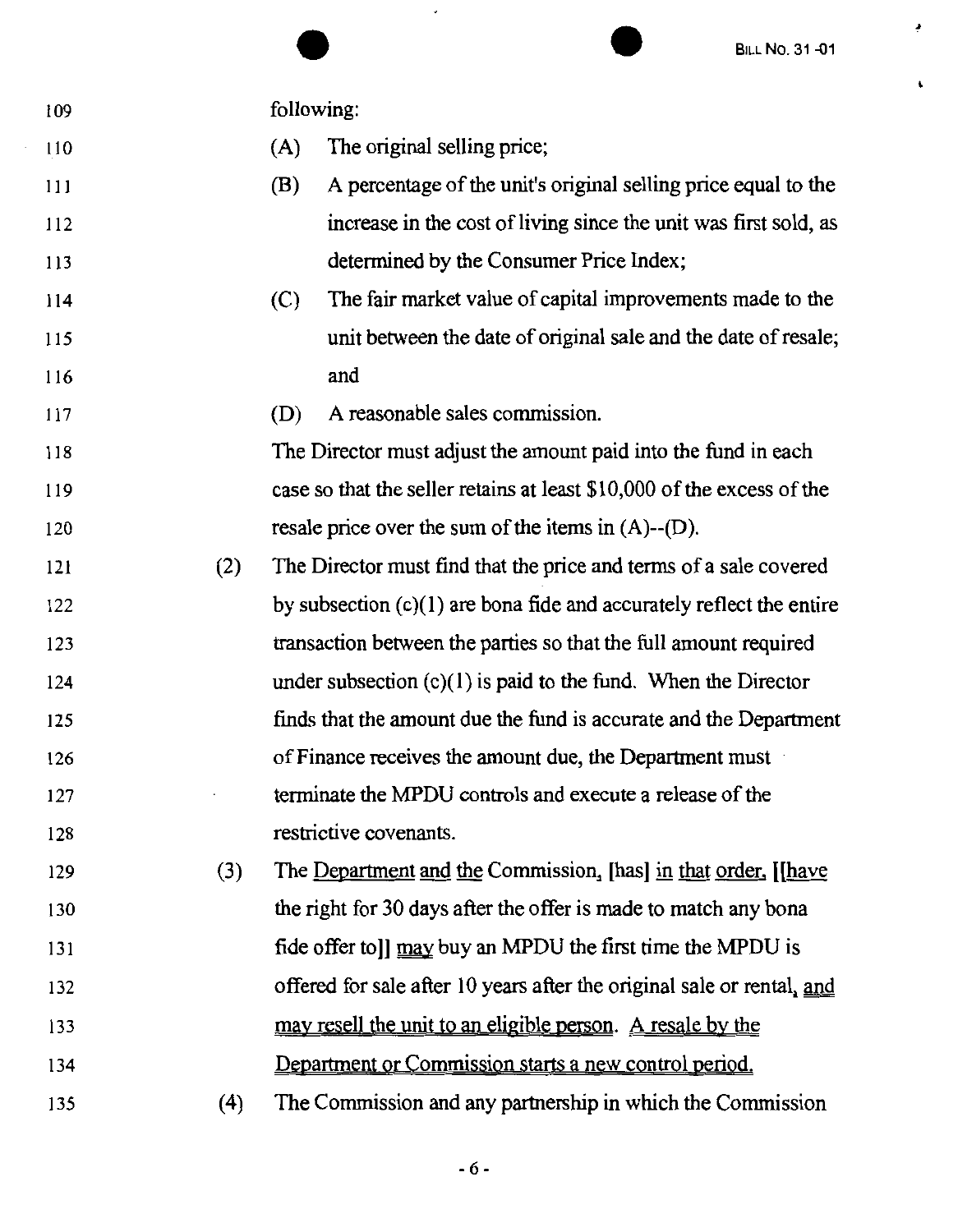|            | <b>BILL NO. 31-01</b>                                                  |
|------------|------------------------------------------------------------------------|
| 109        | following:                                                             |
| 110        | The original selling price;<br>(A)                                     |
| 111        | A percentage of the unit's original selling price equal to the<br>(B)  |
| 112        | increase in the cost of living since the unit was first sold, as       |
| 113        | determined by the Consumer Price Index;                                |
| 114        | The fair market value of capital improvements made to the<br>(C)       |
| 115        | unit between the date of original sale and the date of resale;         |
| 116        | and                                                                    |
| 117        | A reasonable sales commission.<br>(D)                                  |
| 118        | The Director must adjust the amount paid into the fund in each         |
| 119        | case so that the seller retains at least \$10,000 of the excess of the |
| 120        | resale price over the sum of the items in $(A)$ -- $(D)$ .             |
| (2)<br>121 | The Director must find that the price and terms of a sale covered      |
| 122        | by subsection $(c)(1)$ are bona fide and accurately reflect the entire |
| 123        | transaction between the parties so that the full amount required       |
| 124        | under subsection $(c)(1)$ is paid to the fund. When the Director       |
| 125        | finds that the amount due the fund is accurate and the Department      |
| 126        | of Finance receives the amount due, the Department must                |
| 127        | terminate the MPDU controls and execute a release of the               |
| 128        | restrictive covenants.                                                 |
| (3)<br>129 | The Department and the Commission, [has] in that order, [[have         |
| 130        | the right for 30 days after the offer is made to match any bona        |
| 131        | fide offer to]] may buy an MPDU the first time the MPDU is             |
| 132        | offered for sale after 10 years after the original sale or rental, and |
| 133        | may resell the unit to an eligible person. A resale by the             |
| 134        | Department or Commission starts a new control period.                  |
| (4)<br>135 | The Commission and any partnership in which the Commission             |

,